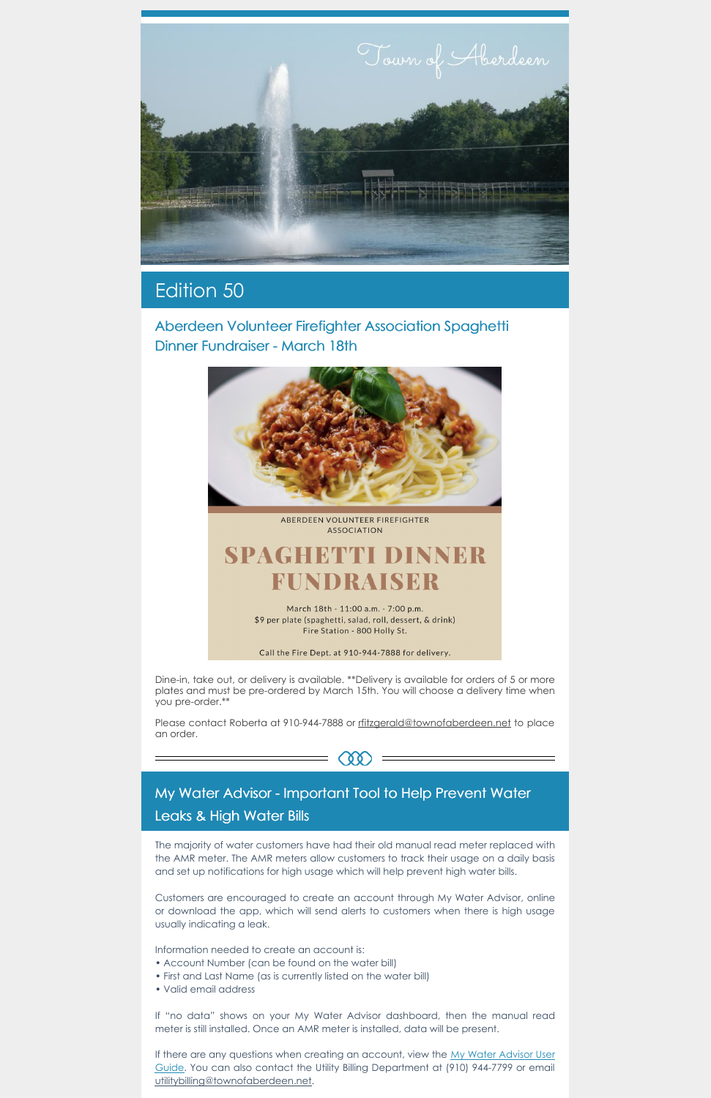

# Edition 50

Aberdeen Volunteer Firefighter Association Spaghetti Dinner Fundraiser - March 18th



ABERDEEN VOLUNTEER FIREFIGHTER **ASSOCIATION** 

# **SPAGHETTI DINNER** FUNDRAISER

March 18th - 11:00 a.m. - 7:00 p.m. \$9 per plate (spaghetti, salad, roll, dessert, & drink) Fire Station - 800 Holly St.

Call the Fire Dept. at 910-944-7888 for delivery.

Please contact Roberta at 910-944-7888 or [rfitzgerald@townofaberdeen.net](mailto:rfitzgerald@townofaberdeen.net) to place an order.



Dine-in, take out, or delivery is available. \*\*Delivery is available for orders of 5 or more plates and must be pre-ordered by March 15th. You will choose a delivery time when you pre-order.\*\*

### My Water Advisor - Important Tool to Help Prevent Water

#### Leaks & High Water Bills

The majority of water customers have had their old manual read meter replaced with the AMR meter. The AMR meters allow customers to track their usage on a daily basis and set up notifications for high usage which will help prevent high water bills.

If there are any questions when creating an account, view the My Water Advisor User Guide. You can also contact the Utility Billing [Department](https://aberdeennc.municipalone.com/files/documents/MyWaterAdvisor-CreateanAccount135120228020822PM.pdf) at (910) 944-7799 or email [utilitybilling@townofaberdeen.net](mailto:utilitybilling@townofaberdeen.net).

Customers are encouraged to create an account through My Water Advisor, online or download the app, which will send alerts to customers when there is high usage usually indicating a leak.

Information needed to create an account is:

- Account Number (can be found on the water bill)
- First and Last Name (as is currently listed on the water bill)
- Valid email address

If "no data" shows on your My Water Advisor dashboard, then the manual read meter is still installed. Once an AMR meter is installed, data will be present.